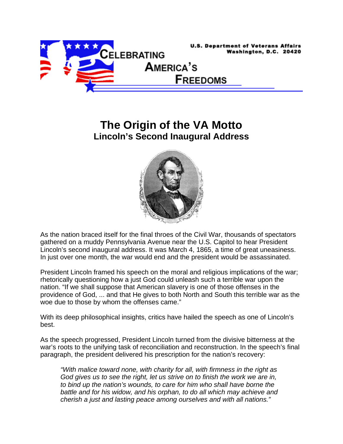

## **The Origin of the VA Motto Lincoln's Second Inaugural Address**



As the nation braced itself for the final throes of the Civil War, thousands of spectators gathered on a muddy Pennsylvania Avenue near the U.S. Capitol to hear President Lincoln's second inaugural address. It was March 4, 1865, a time of great uneasiness. In just over one month, the war would end and the president would be assassinated.

President Lincoln framed his speech on the moral and religious implications of the war; rhetorically questioning how a just God could unleash such a terrible war upon the nation. "If we shall suppose that American slavery is one of those offenses in the providence of God, ... and that He gives to both North and South this terrible war as the woe due to those by whom the offenses came."

With its deep philosophical insights, critics have hailed the speech as one of Lincoln's best.

As the speech progressed, President Lincoln turned from the divisive bitterness at the war's roots to the unifying task of reconciliation and reconstruction. In the speech's final paragraph, the president delivered his prescription for the nation's recovery:

*"With malice toward none, with charity for all, with firmness in the right as God gives us to see the right, let us strive on to finish the work we are in, to bind up the nation's wounds, to care for him who shall have borne the battle and for his widow, and his orphan, to do all which may achieve and cherish a just and lasting peace among ourselves and with all nations."*